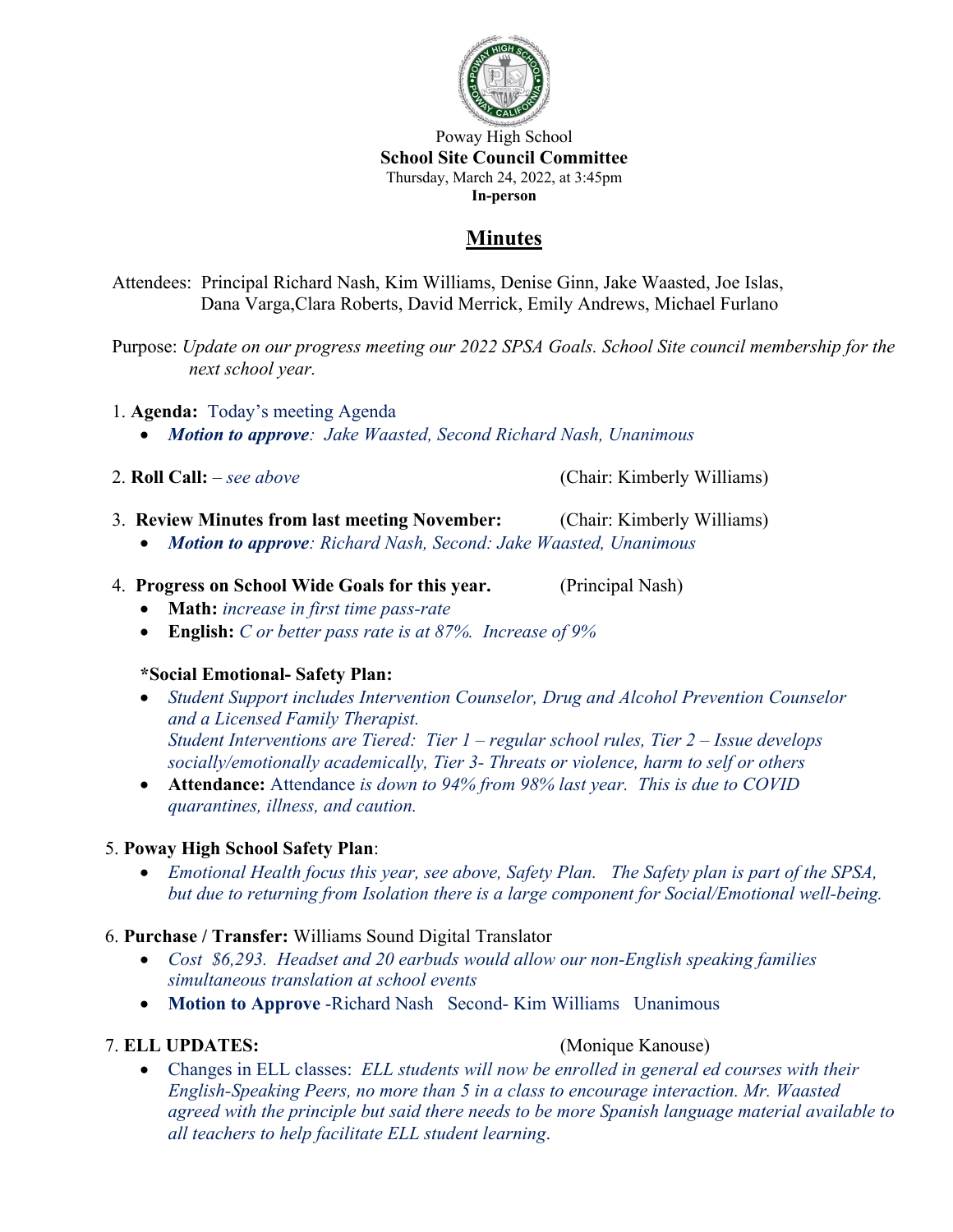

Poway High School **School Site Council Committee** Thursday, March 24, 2022, at 3:45pm **In-person**

# **Minutes**

Attendees: Principal Richard Nash, Kim Williams, Denise Ginn, Jake Waasted, Joe Islas, Dana Varga,Clara Roberts, David Merrick, Emily Andrews, Michael Furlano

Purpose: *Update on our progress meeting our 2022 SPSA Goals. School Site council membership for the next school year.*

- 1. **Agenda:** Today's meeting Agenda
	- *Motion to approve: Jake Waasted, Second Richard Nash, Unanimous*

2. **Roll Call:** – *see above* (Chair: Kimberly Williams)

- 3. **Review Minutes from last meeting November:** (Chair: Kimberly Williams)
	- *Motion to approve: Richard Nash, Second: Jake Waasted, Unanimous*
- 4. **Progress on School Wide Goals for this year.** (Principal Nash)
	- **Math:** *increase in first time pass-rate*
	- **English:** *C or better pass rate is at 87%. Increase of 9%*

## **\*Social Emotional- Safety Plan:**

- *Student Support includes Intervention Counselor, Drug and Alcohol Prevention Counselor and a Licensed Family Therapist. Student Interventions are Tiered: Tier 1 – regular school rules, Tier 2 – Issue develops socially/emotionally academically, Tier 3- Threats or violence, harm to self or others*
- **Attendance:** Attendance *is down to 94% from 98% last year. This is due to COVID quarantines, illness, and caution.*

## 5. **Poway High School Safety Plan**:

• *Emotional Health focus this year, see above, Safety Plan. The Safety plan is part of the SPSA, but due to returning from Isolation there is a large component for Social/Emotional well-being.*

## 6. **Purchase / Transfer:** Williams Sound Digital Translator

- *Cost \$6,293. Headset and 20 earbuds would allow our non-English speaking families simultaneous translation at school events*
- **Motion to Approve** -Richard Nash Second- Kim Williams Unanimous

## 7. **ELL UPDATES:** (Monique Kanouse)

• Changes in ELL classes: *ELL students will now be enrolled in general ed courses with their English-Speaking Peers, no more than 5 in a class to encourage interaction. Mr. Waasted agreed with the principle but said there needs to be more Spanish language material available to all teachers to help facilitate ELL student learning*.